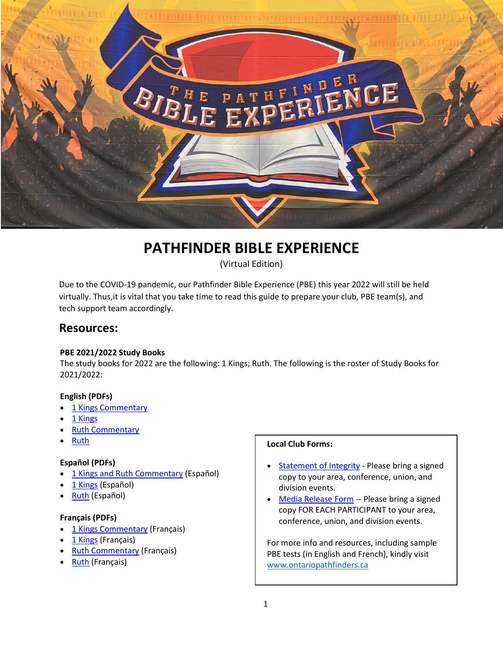

# **PATHFINDER BIBLE EXPERIENCE**

(Virtual Edition)

Due to the COVID‐19 pandemic, our Pathfinder Bible Experience (PBE) this year 2022 will still be held virtually. Thus, it is vital that you take time to read this guide to prepare your club, PBE team(s), and tech support team accordingly.

# **Resources:**

# **PBE 2021/2022 Study Books**

The study books for 2022 are the following: 1 Kings; Ruth. The following is the roster of Study Books for 2021/2022:

# **English (PDFs)**

- [1 Kings Commentary](https://nadpbe.org/wp-content/uploads/2021/08/1-Kings-SDA-Bible-Commentary.pdf)
- $\bullet$  [1 Kings](https://nadpbe.org/wp-content/uploads/2021/08/1-Kings-NKJV.pdf)
- [Ruth Commentary](https://nadpbe.org/wp-content/uploads/2021/08/Ruth-SDA-Bible-Commentary.pdf)
- [Ruth](https://nadpbe.org/wp-content/uploads/2021/08/Ruth-NKJV.pdf)

# **Español (PDFs)**

- [1 Kings and Ruth Commentary](https://nadpbe.org/wp-content/uploads/2021/09/CBA-1-Reyes-y-Rut.pdf) (Español)
- [1 Kings](https://nadpbe.org/wp-content/uploads/2021/09/Primer-Libro-de-Reyes.pdf) (Español)
- [Ruth](https://nadpbe.org/wp-content/uploads/2021/09/Libro-de-Rut.pdf) (Español)

### **Français (PDFs)**

- [1 Kings Commentary](https://nadpbe.org/wp-content/uploads/2021/09/1-ROIS-INTRODUCTION-COMMENTAIRE-BIBLIQUE-2022.pdf) (Français)
- [1 Kings](https://nadpbe.org/wp-content/uploads/2021/09/LIVRE-DE-1-ROIS.pdf) (Français)
- [Ruth Commentary \(](https://nadpbe.org/wp-content/uploads/2021/09/COMMENTAIRE-BIBLIQUE-INTRODUCTION-RUTH-2022-FR.pdf)Français)
- [Ruth](https://nadpbe.org/wp-content/uploads/2021/09/LIVRE-DE-RUTH.pdf) (Français)

### **Local Club Forms:**

- [Statement of Integrity -](https://www.clubministries.org/wp-content/uploads/PBE_StatementIntegrity.pdf) Please bring a signed copy to your area, conference, union, and division events.
- [Media Release Form](https://www.clubministries.org/wp-content/uploads/PBE_VideographyPhotographyReleaseForm.pdf) -- Please bring a signed copy FOR EACH PARTICIPANT to your area, conference, union, and division events.

For more info and resources, including sample PBE tests (in English and French), kindly visit [www.ontariopathfinders.ca](http://www.ontariopathfinders.ca/)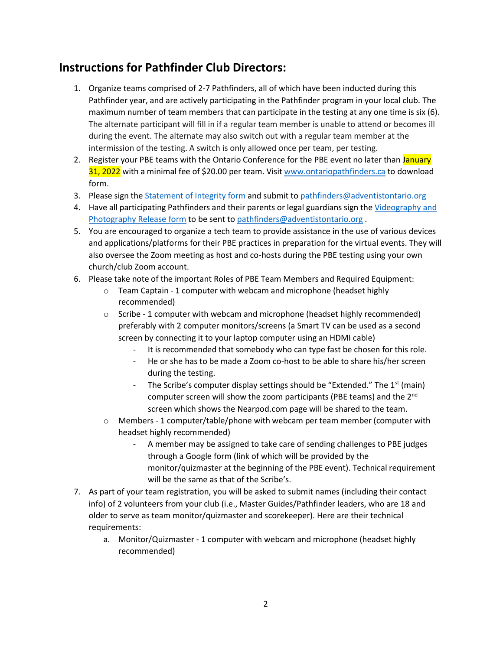# **Instructions for Pathfinder Club Directors:**

- 1. Organize teams comprised of 2-7 Pathfinders, all of which have been inducted during this Pathfinder year, and are actively participating in the Pathfinder program in your local club. The maximum number of team members that can participate in the testing at any one time is six (6). The alternate participant will fill in if a regular team member is unable to attend or becomes ill during the event. The alternate may also switch out with a regular team member at the intermission of the testing. A switch is only allowed once per team, per testing.
- 2. Register your PBE teams with the Ontario Conference for the PBE event no later than January 31, 2022 with a minimal fee of \$20.00 per team. Visit [www.ontariopathfinders.ca t](http://www.ontariopathfinders.ca/)o download form.
- 3. Please sign the Statement of Integrity form and submit t[o pathfinders@adventistontario.org](mailto:pathfinders@adventistontario.org)
- 4. Have all participating Pathfinders and their parents or legal guardians sign the Videography and Photography Release form to be sent to pathfinders@adventistontario.org.
- 5. You are encouraged to organize a tech team to provide assistance in the use of various devices and applications/platforms for their PBE practices in preparation for the virtual events. They will also oversee the Zoom meeting as host and co-hosts during the PBE testing using your own church/club Zoom account.
- 6. Please take note of the important Roles of PBE Team Members and Required Equipment:
	- $\circ$  Team Captain 1 computer with webcam and microphone (headset highly recommended)
	- $\circ$  Scribe 1 computer with webcam and microphone (headset highly recommended) preferably with 2 computer monitors/screens (a Smart TV can be used as a second screen by connecting it to your laptop computer using an HDMI cable)
		- It is recommended that somebody who can type fast be chosen for this role.
		- ‐ He or she has to be made a Zoom co‐host to be able to share his/her screen during the testing.
		- The Scribe's computer display settings should be "Extended." The 1<sup>st</sup> (main) computer screen will show the zoom participants (PBE teams) and the 2nd screen which shows the Nearpod.com page will be shared to the team.
	- o Members ‐ 1 computer/table/phone with webcam per team member (computer with headset highly recommended)
		- ‐ A member may be assigned to take care of sending challenges to PBE judges through a Google form (link of which will be provided by the monitor/quizmaster at the beginning of the PBE event). Technical requirement will be the same as that of the Scribe's.
- 7. As part of your team registration, you will be asked to submit names (including their contact info) of 2 volunteers from your club (i.e., Master Guides/Pathfinder leaders, who are 18 and older to serve as team monitor/quizmaster and scorekeeper). Here are their technical requirements:
	- a. Monitor/Quizmaster ‐ 1 computer with webcam and microphone (headset highly recommended)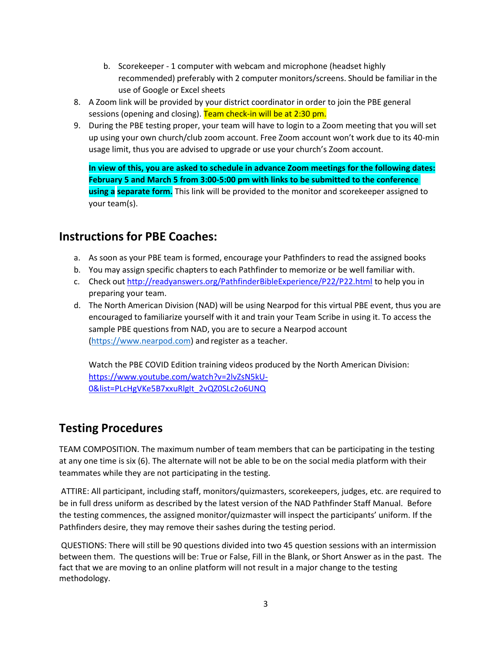- b. Scorekeeper ‐ 1 computer with webcam and microphone (headset highly recommended) preferably with 2 computer monitors/screens. Should be familiar in the use of Google or Excel sheets
- 8. A Zoom link will be provided by your district coordinator in order to join the PBE general sessions (opening and closing). Team check-in will be at 2:30 pm.
- 9. During the PBE testing proper, your team will have to login to a Zoom meeting that you will set up using your own church/club zoom account. Free Zoom account won't work due to its 40‐min usage limit, thus you are advised to upgrade or use your church's Zoom account.

**In view of this, you are asked to schedule in advance Zoom meetings for the following dates: February 5 and March 5 from 3:00‐5:00 pm with links to be submitted to the conference using a separate form.** This link will be provided to the monitor and scorekeeper assigned to your team(s).

# **Instructions for PBE Coaches:**

- a. As soon as your PBE team is formed, encourage your Pathfinders to read the assigned books
- b. You may assign specific chapters to each Pathfinder to memorize or be well familiar with.
- c. Check out <http://readyanswers.org/PathfinderBibleExperience/P22/P22.html> to help you in preparing your team.
- d. The North American Division (NAD) will be using Nearpod for this virtual PBE event, thus you are encouraged to familiarize yourself with it and train your Team Scribe in using it. To access the sample PBE questions from NAD, you are to secure a Nearpod account ([https://www.nearpod.c](http://www.nearpod.com/)om) and register as a teacher.

Watch the PBE COVID Edition training videos produced by the North American Division: [https://www.youtube.com/watch?v=2lvZsN5kU-](https://www.youtube.com/watch?v=2lvZsN5kU-0&list=PLcHgVKe5B7xxuRlgIt_2vQZ0SLc2o6UNQ)[0&list=PLcHgVKe5B7xxuRlgIt\\_2vQZ0SLc2o6UNQ](https://www.youtube.com/watch?v=2lvZsN5kU-0&list=PLcHgVKe5B7xxuRlgIt_2vQZ0SLc2o6UNQ) 

# **Testing Procedures**

TEAM COMPOSITION. The maximum number of team members that can be participating in the testing at any one time is six (6). The alternate will not be able to be on the social media platform with their teammates while they are not participating in the testing.

ATTIRE: All participant, including staff, monitors/quizmasters, scorekeepers, judges, etc. are required to be in full dress uniform as described by the latest version of the NAD Pathfinder Staff Manual. Before the testing commences, the assigned monitor/quizmaster will inspect the participants' uniform. If the Pathfinders desire, they may remove their sashes during the testing period.

QUESTIONS: There will still be 90 questions divided into two 45 question sessions with an intermission between them. The questions will be: True or False, Fill in the Blank, or Short Answer as in the past. The fact that we are moving to an online platform will not result in a major change to the testing methodology.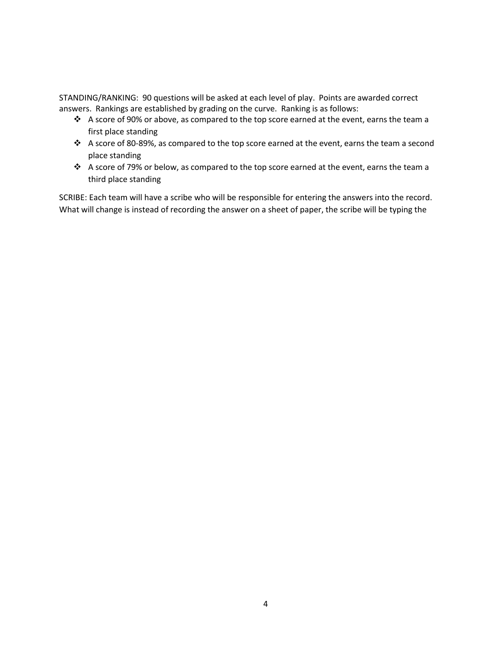STANDING/RANKING: 90 questions will be asked at each level of play. Points are awarded correct answers. Rankings are established by grading on the curve. Ranking is as follows:

- $\cdot \cdot$  A score of 90% or above, as compared to the top score earned at the event, earns the team a first place standing
- A score of 80‐89%, as compared to the top score earned at the event, earns the team a second place standing
- \* A score of 79% or below, as compared to the top score earned at the event, earns the team a third place standing

SCRIBE: Each team will have a scribe who will be responsible for entering the answers into the record. What will change is instead of recording the answer on a sheet of paper, the scribe will be typing the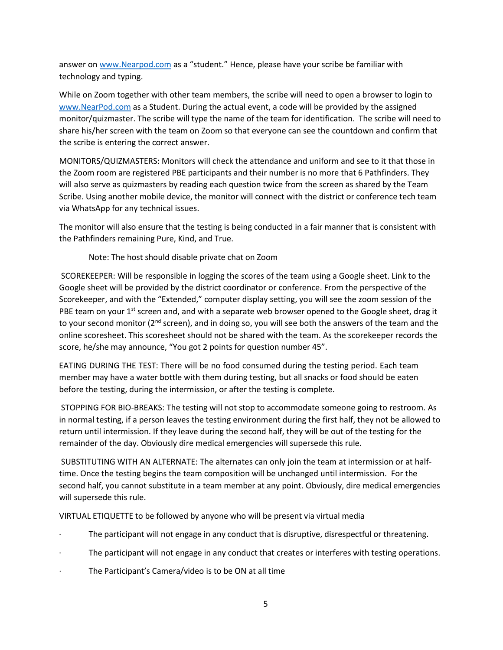answer on [www.Nearpod.com](http://www.nearpod.com/) as a "student." Hence, please have your scribe be familiar with technology and typing.

While on Zoom together with other team members, the scribe will need to open a browser to login to [www.NearPod.com a](http://www.nearpod.com/)s a Student. During the actual event, a code will be provided by the assigned monitor/quizmaster. The scribe will type the name of the team for identification. The scribe will need to share his/her screen with the team on Zoom so that everyone can see the countdown and confirm that the scribe is entering the correct answer.

MONITORS/QUIZMASTERS: Monitors will check the attendance and uniform and see to it that those in the Zoom room are registered PBE participants and their number is no more that 6 Pathfinders. They will also serve as quizmasters by reading each question twice from the screen as shared by the Team Scribe. Using another mobile device, the monitor will connect with the district or conference tech team via WhatsApp for any technical issues.

The monitor will also ensure that the testing is being conducted in a fair manner that is consistent with the Pathfinders remaining Pure, Kind, and True.

Note: The host should disable private chat on Zoom

SCOREKEEPER: Will be responsible in logging the scores of the team using a Google sheet. Link to the Google sheet will be provided by the district coordinator or conference. From the perspective of the Scorekeeper, and with the "Extended," computer display setting, you will see the zoom session of the PBE team on your  $1<sup>st</sup>$  screen and, and with a separate web browser opened to the Google sheet, drag it to your second monitor (2<sup>nd</sup> screen), and in doing so, you will see both the answers of the team and the online scoresheet. This scoresheet should not be shared with the team. As the scorekeeper records the score, he/she may announce, "You got 2 points for question number 45".

EATING DURING THE TEST: There will be no food consumed during the testing period. Each team member may have a water bottle with them during testing, but all snacks or food should be eaten before the testing, during the intermission, or after the testing is complete.

STOPPING FOR BIO‐BREAKS: The testing will not stop to accommodate someone going to restroom. As in normal testing, if a person leaves the testing environment during the first half, they not be allowed to return until intermission. If they leave during the second half, they will be out of the testing for the remainder of the day. Obviously dire medical emergencies will supersede this rule.

SUBSTITUTING WITH AN ALTERNATE: The alternates can only join the team at intermission or at half‐ time. Once the testing begins the team composition will be unchanged until intermission. For the second half, you cannot substitute in a team member at any point. Obviously, dire medical emergencies will supersede this rule.

VIRTUAL ETIQUETTE to be followed by anyone who will be present via virtual media

- ∙ The participant will not engage in any conduct that is disruptive, disrespectful or threatening.
- The participant will not engage in any conduct that creates or interferes with testing operations.
- ∙ The Participant's Camera/video is to be ON at all time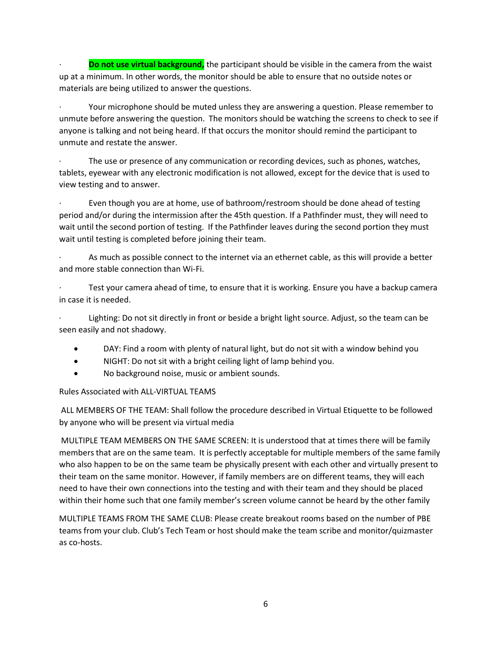**Do not use virtual background,** the participant should be visible in the camera from the waist up at a minimum. In other words, the monitor should be able to ensure that no outside notes or materials are being utilized to answer the questions.

∙ Your microphone should be muted unless they are answering a question. Please remember to unmute before answering the question. The monitors should be watching the screens to check to see if anyone is talking and not being heard. If that occurs the monitor should remind the participant to unmute and restate the answer.

The use or presence of any communication or recording devices, such as phones, watches, tablets, eyewear with any electronic modification is not allowed, except for the device that is used to view testing and to answer.

∙ Even though you are at home, use of bathroom/restroom should be done ahead of testing period and/or during the intermission after the 45th question. If a Pathfinder must, they will need to wait until the second portion of testing. If the Pathfinder leaves during the second portion they must wait until testing is completed before joining their team.

∙ As much as possible connect to the internet via an ethernet cable, as this will provide a better and more stable connection than Wi‐Fi.

∙ Test your camera ahead of time, to ensure that it is working. Ensure you have a backup camera in case it is needed.

∙ Lighting: Do not sit directly in front or beside a bright light source. Adjust, so the team can be seen easily and not shadowy.

- DAY: Find a room with plenty of natural light, but do not sit with a window behind you
- NIGHT: Do not sit with a bright ceiling light of lamp behind you.
- No background noise, music or ambient sounds.

Rules Associated with ALL‐VIRTUAL TEAMS

ALL MEMBERS OF THE TEAM: Shall follow the procedure described in Virtual Etiquette to be followed by anyone who will be present via virtual media

MULTIPLE TEAM MEMBERS ON THE SAME SCREEN: It is understood that at times there will be family members that are on the same team. It is perfectly acceptable for multiple members of the same family who also happen to be on the same team be physically present with each other and virtually present to their team on the same monitor. However, if family members are on different teams, they will each need to have their own connections into the testing and with their team and they should be placed within their home such that one family member's screen volume cannot be heard by the other family

MULTIPLE TEAMS FROM THE SAME CLUB: Please create breakout rooms based on the number of PBE teams from your club. Club's Tech Team or host should make the team scribe and monitor/quizmaster as co‐hosts.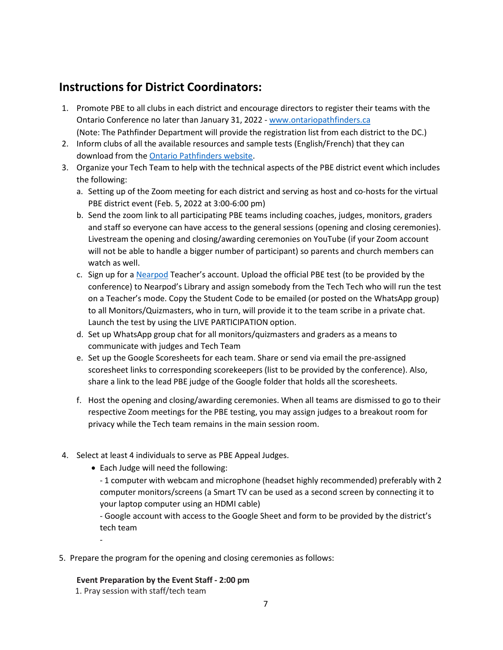# **Instructions for District Coordinators:**

- 1. Promote PBE to all clubs in each district and encourage directors to register their teams with the Ontario Conference no later than January 31, 2022 ‐ [www.ontariopathfinders.ca](http://www.ontariopathfinders.ca/) (Note: The Pathfinder Department will provide the registration list from each district to the DC.)
- 2. Inform clubs of all the available resources and sample tests (English/French) that they can download from the Ontario Pathfinders website.
- 3. Organize your Tech Team to help with the technical aspects of the PBE district event which includes the following:
	- a. Setting up of the Zoom meeting for each district and serving as host and co-hosts for the virtual PBE district event (Feb. 5, 2022 at 3:00‐6:00 pm)
	- b. Send the zoom link to all participating PBE teams including coaches, judges, monitors, graders and staff so everyone can have access to the general sessions (opening and closing ceremonies). Livestream the opening and closing/awarding ceremonies on YouTube (if your Zoom account will not be able to handle a bigger number of participant) so parents and church members can watch as well.
	- c. Sign up for a Nearpod Teacher's account. Upload the official PBE test (to be provided by the conference) to Nearpod's Library and assign somebody from the Tech Tech who will run the test on a Teacher's mode. Copy the Student Code to be emailed (or posted on the WhatsApp group) to all Monitors/Quizmasters, who in turn, will provide it to the team scribe in a private chat. Launch the test by using the LIVE PARTICIPATION option.
	- d. Set up WhatsApp group chat for all monitors/quizmasters and graders as a means to communicate with judges and Tech Team
	- e. Set up the Google Scoresheets for each team. Share or send via email the pre‐assigned scoresheet links to corresponding scorekeepers (list to be provided by the conference). Also, share a link to the lead PBE judge of the Google folder that holds all the scoresheets.
	- f. Host the opening and closing/awarding ceremonies. When all teams are dismissed to go to their respective Zoom meetings for the PBE testing, you may assign judges to a breakout room for privacy while the Tech team remains in the main session room.
- 4. Select at least 4 individuals to serve as PBE Appeal Judges.
	- Each Judge will need the following:
		- ‐ 1 computer with webcam and microphone (headset highly recommended) preferably with 2 computer monitors/screens (a Smart TV can be used as a second screen by connecting it to your laptop computer using an HDMI cable)

‐ Google account with access to the Google Sheet and form to be provided by the district's tech team

5. Prepare the program for the opening and closing ceremonies as follows:

# **Event Preparation by the Event Staff ‐ 2:00 pm**

1. Pray session with staff/tech team

‐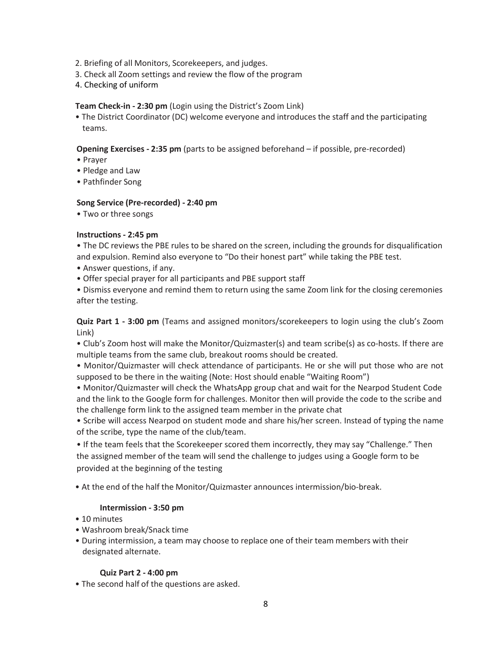- 2. Briefing of all Monitors, Scorekeepers, and judges.
- 3. Check all Zoom settings and review the flow of the program
- 4. Checking of uniform

### **Team Check‐in ‐ 2:30 pm** (Login using the District's Zoom Link)

• The District Coordinator (DC) welcome everyone and introduces the staff and the participating teams.

### **Opening Exercises ‐ 2:35 pm** (parts to be assigned beforehand – if possible, pre‐recorded)

- Prayer
- Pledge and Law
- Pathfinder Song

# **Song Service (Pre‐recorded) ‐ 2:40 pm**

• Two or three songs

# **Instructions ‐ 2:45 pm**

• The DC reviews the PBE rules to be shared on the screen, including the grounds for disqualification and expulsion. Remind also everyone to "Do their honest part" while taking the PBE test.

- Answer questions, if any.
- Offer special prayer for all participants and PBE support staff

• Dismiss everyone and remind them to return using the same Zoom link for the closing ceremonies after the testing.

**Quiz Part 1 ‐ 3:00 pm** (Teams and assigned monitors/scorekeepers to login using the club's Zoom Link)

• Club's Zoom host will make the Monitor/Quizmaster(s) and team scribe(s) as co-hosts. If there are multiple teams from the same club, breakout rooms should be created.

- Monitor/Quizmaster will check attendance of participants. He or she will put those who are not supposed to be there in the waiting (Note: Host should enable "Waiting Room")
- Monitor/Quizmaster will check the WhatsApp group chat and wait for the Nearpod Student Code and the link to the Google form for challenges. Monitor then will provide the code to the scribe and the challenge form link to the assigned team member in the private chat
- Scribe will access Nearpod on student mode and share his/her screen. Instead of typing the name of the scribe, type the name of the club/team.

• If the team feels that the Scorekeeper scored them incorrectly, they may say "Challenge." Then the assigned member of the team will send the challenge to judges using a Google form to be provided at the beginning of the testing

• At the end of the half the Monitor/Quizmaster announces intermission/bio‐break.

### **Intermission ‐ 3:50 pm**

- 10 minutes
- Washroom break/Snack time
- During intermission, a team may choose to replace one of their team members with their designated alternate.

### **Quiz Part 2 ‐ 4:00 pm**

• The second half of the questions are asked.